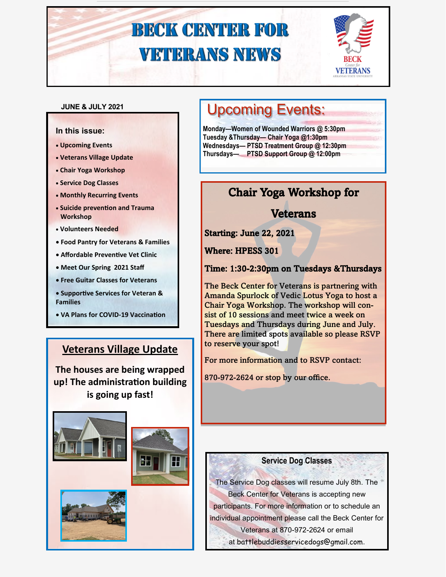

#### **JUNE & JULY 2021**

#### **In this issue:**

- **Upcoming Events**
- **Veterans Village Update**
- **Chair Yoga Workshop**
- **Service Dog Classes**
- **Monthly Recurring Events**
- **Suicide prevention and Trauma Workshop**
- **Volunteers Needed**
- **Food Pantry for Veterans & Families**
- **Affordable Preventive Vet Clinic**
- **Meet Our Spring 2021 Staff**
- **Free Guitar Classes for Veterans**
- **Supportive Services for Veteran & Families**
- **VA Plans for COVID-19 Vaccination**

### **Veterans Village Update**

**The houses are being wrapped up! The administration building is going up fast!** 







## Upcoming Events:

**Monday—Women of Wounded Warriors @ 5:30pm Tuesday &Thursday— Chair Yoga @1:30pm Wednesdays— PTSD Treatment Group @ 12:30pm Thursdays— PTSD Support Group @ 12:00pm** 

### Chair Yoga Workshop for

**Veterans** 

Starting: June 22, 2021

Where: HPESS 301

Time: 1:30-2:30pm on Tuesdays &Thursdays

The Beck Center for Veterans is partnering with Amanda Spurlock of Vedic Lotus Yoga to host a Chair Yoga Workshop. The workshop will consist of 10 sessions and meet twice a week on Tuesdays and Thursdays during June and July. There are limited spots available so please RSVP to reserve your spot!

For more information and to RSVP contact:

870-972-2624 or stop by our office.

#### **Service Dog Classes**

The Service Dog classes will resume July 8th. The Beck Center for Veterans is accepting new participants. For more information or to schedule an individual appointment please call the Beck Center for Veterans at 870-972-2624 or email

at [battlebuddiesservicedogs@gmail.com](mailto:battlebuddiesservicedogs@gmail.com).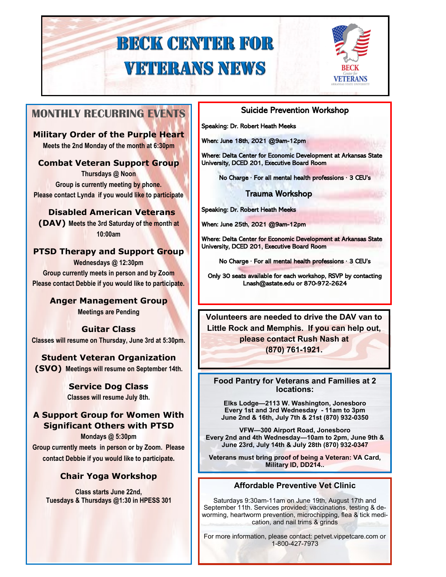

### **MONTHLY RECURRING EVENTS**

**Military Order of the Purple Heart Meets the 2nd Monday of the month at 6:30pm**

#### **Combat Veteran Support Group**

**Thursdays @ Noon Group is currently meeting by phone. Please contact Lynda if you would like to participate**

**Disabled American Veterans (DAV) Meets the 3rd Saturday of the month at 10:00am** 

#### **PTSD Therapy and Support Group**

**Wednesdays @ 12:30pm Group currently meets in person and by Zoom Please contact Debbie if you would like to participate.** 

### **Anger Management Group**

**Meetings are Pending** 

### **Guitar Class**

**Classes will resume on Thursday, June 3rd at 5:30pm.** 

#### **Student Veteran Organization**

**(SVO) Meetings will resume on September 14th.**

### **Service Dog Class**

**Classes will resume July 8th.**

#### **A Support Group for Women With Significant Others with PTSD**

**Mondays @ 5:30pm Group currently meets in person or by Zoom. Please contact Debbie if you would like to participate.**

#### **Chair Yoga Workshop**

**Class starts June 22nd, Tuesdays & Thursdays @1:30 in HPESS 301** 

#### Suicide Prevention Workshop

Speaking: Dr. Robert Heath Meeks

When: June 18th, 2021 @9am-12pm

Where: Delta Center for Economic Development at Arkansas State University, DCED 201, Executive Board Room

No Charge ∙ For all mental health professions ∙ 3 CEU's

#### Trauma Workshop

Speaking: Dr. Robert Heath Meeks

When: June 25th, 2021 @9am-12pm

Where: Delta Center for Economic Development at Arkansas State University, DCED 201, Executive Board Room

No Charge ∙ For all mental health professions ∙ 3 CEU's

Only 30 seats available for each workshop, RSVP by contacting Lnash@astate.edu or 870-972-2624

**Volunteers are needed to drive the DAV van to Little Rock and Memphis. If you can help out, please contact Rush Nash at (870) 761-1921.**

**Food Pantry for Veterans and Families at 2 locations:**

**Elks Lodge—2113 W. Washington, Jonesboro Every 1st and 3rd Wednesday - 11am to 3pm June 2nd & 16th, July 7th & 21st (870) 932-0350** 

**VFW—300 Airport Road, Jonesboro Every 2nd and 4th Wednesday—10am to 2pm, June 9th & June 23rd, July 14th & July 28th (870) 932-0347**

**Veterans must bring proof of being a Veteran: VA Card, Military ID, DD214..**

#### **Affordable Preventive Vet Clinic**

Saturdays 9:30am-11am on June 19th, August 17th and September 11th. Services provided: vaccinations, testing & deworming, heartworm prevention, microchipping, flea & tick medication, and nail trims & grinds

For more information, please contact: petvet.vippetcare.com or 1-800-427-7973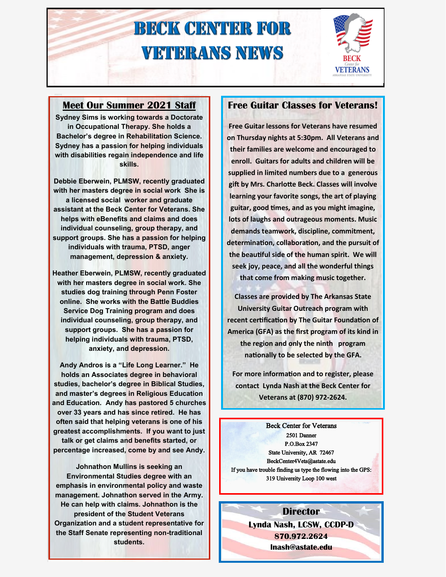

#### **Meet Our Summer 2021 Staff**

**Sydney Sims is working towards a Doctorate in Occupational Therapy. She holds a Bachelor's degree in Rehabilitation Science. Sydney has a passion for helping individuals with disabilities regain independence and life skills.** 

**Debbie Eberwein, PLMSW, recently graduated with her masters degree in social work She is a licensed social worker and graduate assistant at the Beck Center for Veterans. She helps with eBenefits and claims and does individual counseling, group therapy, and support groups. She has a passion for helping individuals with trauma, PTSD, anger management, depression & anxiety.**

**Heather Eberwein, PLMSW, recently graduated with her masters degree in social work. She studies dog training through Penn Foster online. She works with the Battle Buddies Service Dog Training program and does individual counseling, group therapy, and support groups. She has a passion for helping individuals with trauma, PTSD, anxiety, and depression.**

**Andy Andros is a "Life Long Learner." He holds an Associates degree in behavioral studies, bachelor's degree in Biblical Studies, and master's degrees in Religious Education and Education. Andy has pastored 5 churches over 33 years and has since retired. He has often said that helping veterans is one of his greatest accomplishments. If you want to just talk or get claims and benefits started, or percentage increased, come by and see Andy.** 

**Johnathon Mullins is seeking an Environmental Studies degree with an emphasis in environmental policy and waste management. Johnathon served in the Army. He can help with claims. Johnathon is the president of the Student Veterans Organization and a student representative for the Staff Senate representing non-traditional students.**

#### **Free Guitar Classes for Veterans!**

**Free Guitar lessons for Veterans have resumed on Thursday nights at 5:30pm. All Veterans and their families are welcome and encouraged to enroll. Guitars for adults and children will be supplied in limited numbers due to a generous gift by Mrs. Charlotte Beck. Classes will involve learning your favorite songs, the art of playing guitar, good times, and as you might imagine, lots of laughs and outrageous moments. Music demands teamwork, discipline, commitment, determination, collaboration, and the pursuit of the beautiful side of the human spirit. We will seek joy, peace, and all the wonderful things that come from making music together.** 

**Classes are provided by The Arkansas State University Guitar Outreach program with recent certification by The Guitar Foundation of America (GFA) as the first program of its kind in the region and only the ninth program nationally to be selected by the GFA.**

**For more information and to register, please contact Lynda Nash at the Beck Center for Veterans at (870) 972-2624.**

Beck Center for Veterans 2501 Danner P.O.Box 2347 State University, AR 72467 BeckCenter4Vets@astate.edu If you have trouble finding us type the flowing into the GPS: 319 University Loop 100 west

#### **Director**

**Lynda Nash, LCSW, CCDP-D 870.972.2624 lnash@astate.edu**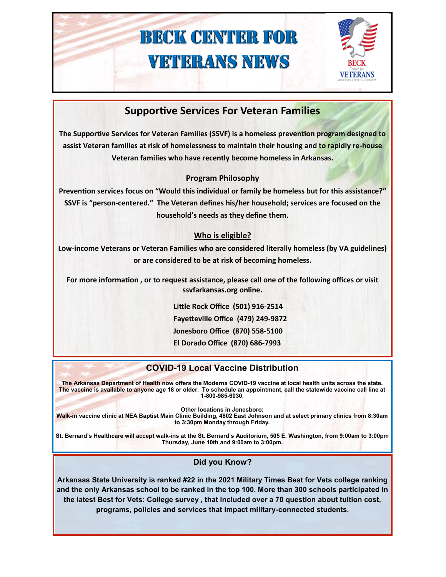

### **Supportive Services For Veteran Families**

**The Supportive Services for Veteran Families (SSVF) is a homeless prevention program designed to assist Veteran families at risk of homelessness to maintain their housing and to rapidly re-house Veteran families who have recently become homeless in Arkansas.**

#### **Program Philosophy**

**Prevention services focus on "Would this individual or family be homeless but for this assistance?" SSVF is "person-centered." The Veteran defines his/her household; services are focused on the household's needs as they define them.**

#### **Who is eligible?**

**Low-income Veterans or Veteran Families who are considered literally homeless (by VA guidelines) or are considered to be at risk of becoming homeless.**

**For more information , or to request assistance, please call one of the following offices or visit ssvfarkansas.org online.** 

> **Little Rock Office (501) 916-2514 Fayetteville Office (479) 249-9872 Jonesboro Office (870) 558-5100 El Dorado Office (870) 686-7993**

### **VA Announced Initial Plans for COVID-19 Local Vaccine Distribution**

The <u>U.S. Food and Drug Administration has a</u>uthorized the modernal COVID-19 vaccine at local neath units across me state.<br>The vacaine is published to any part of the first Coophodule on the U.S. of the Valentinian was a s The vaccine is available to anyone age 18 or older. To schedule an appointment, call the statewide vaccine call line at<br>1-800-985-6030 **(CDC) and other federal partners to develop a phase discussion of the phase discussion of the most good for the**  $\alpha$ **The Arkansas Department of Health now offers the Moderna COVID-19 vaccine at local health units across the state. 1-800-985-6030.**

**most performance of the phase of the phase of Veterans in Jonesboro:**  $\blacksquare$ 

Walk-in vaccine clinic at NEA Baptist Main Clinic Building, 4802 East Johnson and at select primary clinics from 8:30am **After these two groups, the VA will begin to offer vaccines to more Veterans who are at high risk of to 3:30pm Monday through Friday.**

St. Bernard's Healthcare will accept walk-ins at the St. Bernard's Auditorium, 505 E. Washington, from 9:00am to 3:00pm **get a vaccine during the Thursday, June 10th and 9:00am to 3:00pm.** 

#### **Did you Know?**

**Arkansas State University is ranked #22 in the 2021 Military Times Best for Vets college ranking and the only Arkansas school to be ranked in the top 100. More than 300 schools participated in the latest Best for Vets: College survey , that included over a 70 question about tuition cost, programs, policies and services that impact military-connected students.**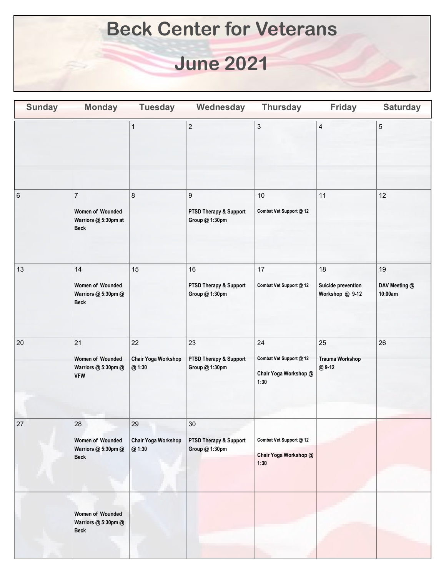## **Beck Center for Veterans**

## **June 2021**

| <b>Sunday</b> | <b>Monday</b>                                                                        | <b>Tuesday</b>                      | Wednesday                                                    | <b>Thursday</b>                                                | <b>Friday</b>                               | <b>Saturday</b>                |
|---------------|--------------------------------------------------------------------------------------|-------------------------------------|--------------------------------------------------------------|----------------------------------------------------------------|---------------------------------------------|--------------------------------|
|               |                                                                                      | $\mathbf 1$                         | $\overline{2}$                                               | $\ensuremath{\mathsf{3}}$                                      | $\overline{4}$                              | $\mathbf 5$                    |
| 6             | $\overline{\mathfrak{c}}$<br>Women of Wounded<br>Warriors @ 5:30pm at<br><b>Beck</b> | $\bf 8$                             | $\boldsymbol{9}$<br>PTSD Therapy & Support<br>Group @ 1:30pm | $10$<br>Combat Vet Support @ 12                                | 11                                          | 12                             |
| 13            | 14<br>Women of Wounded<br>Warriors @ 5:30pm @<br><b>Beck</b>                         | 15                                  | 16<br>PTSD Therapy & Support<br>Group @ 1:30pm               | 17<br>Combat Vet Support @ 12                                  | 18<br>Suicide prevention<br>Workshop @ 9-12 | 19<br>DAV Meeting @<br>10:00am |
| 20            | 21<br>Women of Wounded<br>Warriors @ 5:30pm @<br><b>VFW</b>                          | 22<br>Chair Yoga Workshop<br>@ 1:30 | 23<br>PTSD Therapy & Support<br>Group @ 1:30pm               | 24<br>Combat Vet Support @ 12<br>Chair Yoga Workshop @<br>1:30 | 25<br><b>Trauma Workshop</b><br>@9-12       | 26                             |
| 27            | 28<br>Women of Wounded<br>Warriors @ 5:30pm @<br><b>Beck</b>                         | 29<br>Chair Yoga Workshop<br>@ 1:30 | 30<br>PTSD Therapy & Support<br>Group @ 1:30pm               | Combat Vet Support @ 12<br>Chair Yoga Workshop @<br>1:30       |                                             |                                |
|               | Women of Wounded<br>Warriors @ 5:30pm @<br><b>Beck</b>                               |                                     |                                                              |                                                                |                                             |                                |